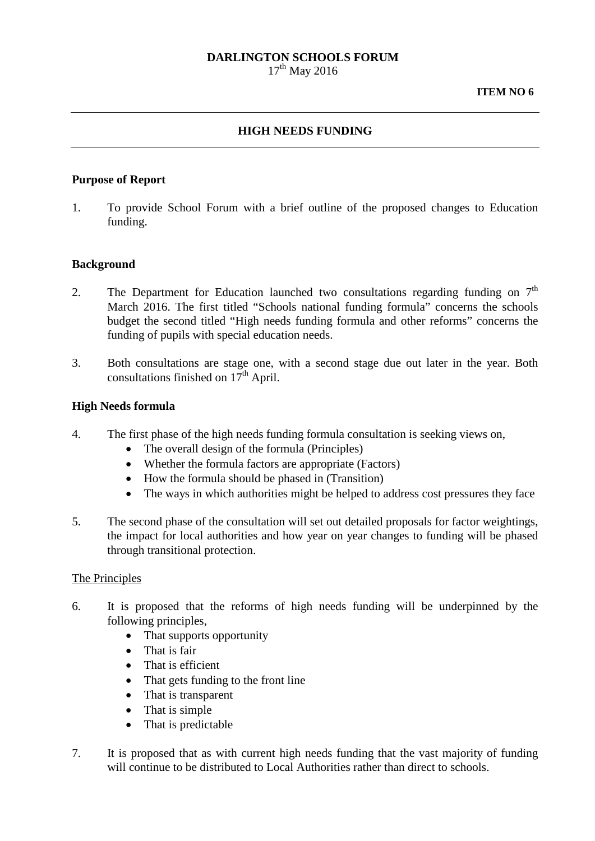# **DARLINGTON SCHOOLS FORUM**

 $17^{th}$  May 2016

#### **HIGH NEEDS FUNDING**

#### **Purpose of Report**

1. To provide School Forum with a brief outline of the proposed changes to Education funding.

### **Background**

- 2. The Department for Education launched two consultations regarding funding on  $7<sup>th</sup>$ March 2016. The first titled "Schools national funding formula" concerns the schools budget the second titled "High needs funding formula and other reforms" concerns the funding of pupils with special education needs.
- 3. Both consultations are stage one, with a second stage due out later in the year. Both consultations finished on  $17<sup>th</sup>$  April.

#### **High Needs formula**

- 4. The first phase of the high needs funding formula consultation is seeking views on,
	- The overall design of the formula (Principles)
	- Whether the formula factors are appropriate (Factors)
	- How the formula should be phased in (Transition)
	- The ways in which authorities might be helped to address cost pressures they face
- 5. The second phase of the consultation will set out detailed proposals for factor weightings, the impact for local authorities and how year on year changes to funding will be phased through transitional protection.

#### The Principles

- 6. It is proposed that the reforms of high needs funding will be underpinned by the following principles,
	- That supports opportunity
	- That is fair
	- That is efficient
	- That gets funding to the front line
	- That is transparent
	- That is simple
	- That is predictable
- 7. It is proposed that as with current high needs funding that the vast majority of funding will continue to be distributed to Local Authorities rather than direct to schools.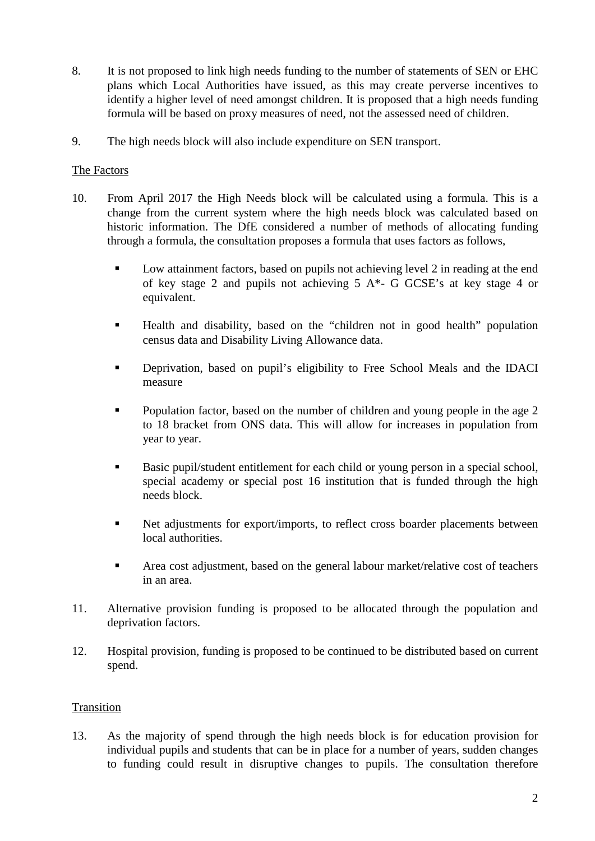- 8. It is not proposed to link high needs funding to the number of statements of SEN or EHC plans which Local Authorities have issued, as this may create perverse incentives to identify a higher level of need amongst children. It is proposed that a high needs funding formula will be based on proxy measures of need, not the assessed need of children.
- 9. The high needs block will also include expenditure on SEN transport.

### The Factors

- 10. From April 2017 the High Needs block will be calculated using a formula. This is a change from the current system where the high needs block was calculated based on historic information. The DfE considered a number of methods of allocating funding through a formula, the consultation proposes a formula that uses factors as follows,
	- Low attainment factors, based on pupils not achieving level 2 in reading at the end of key stage 2 and pupils not achieving  $5 A^*$ - G GCSE's at key stage 4 or equivalent.
	- Health and disability, based on the "children not in good health" population census data and Disability Living Allowance data.
	- Deprivation, based on pupil's eligibility to Free School Meals and the IDACI measure
	- Population factor, based on the number of children and young people in the age 2 to 18 bracket from ONS data. This will allow for increases in population from year to year.
	- Basic pupil/student entitlement for each child or young person in a special school, special academy or special post 16 institution that is funded through the high needs block.
	- Net adjustments for export/imports, to reflect cross boarder placements between local authorities.
	- Area cost adjustment, based on the general labour market/relative cost of teachers in an area.
- 11. Alternative provision funding is proposed to be allocated through the population and deprivation factors.
- 12. Hospital provision, funding is proposed to be continued to be distributed based on current spend.

### **Transition**

13. As the majority of spend through the high needs block is for education provision for individual pupils and students that can be in place for a number of years, sudden changes to funding could result in disruptive changes to pupils. The consultation therefore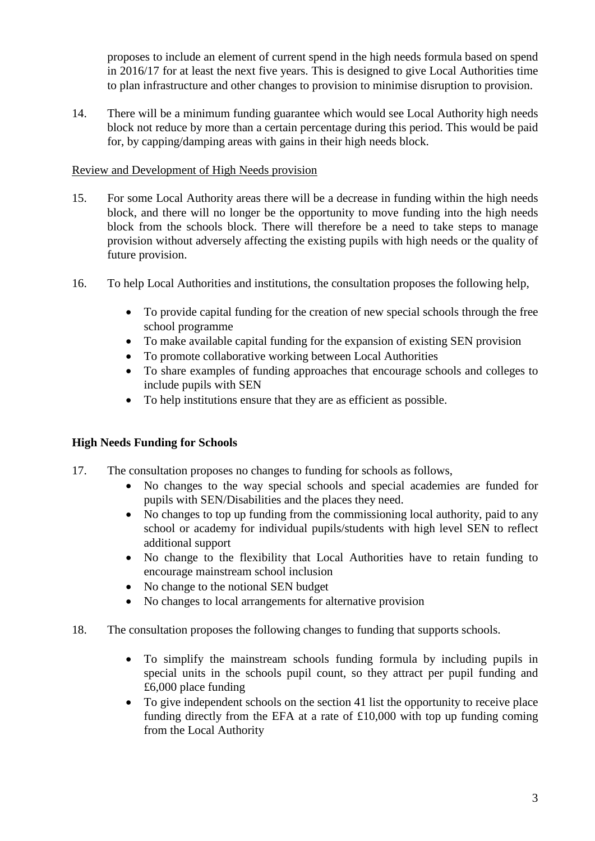proposes to include an element of current spend in the high needs formula based on spend in 2016/17 for at least the next five years. This is designed to give Local Authorities time to plan infrastructure and other changes to provision to minimise disruption to provision.

14. There will be a minimum funding guarantee which would see Local Authority high needs block not reduce by more than a certain percentage during this period. This would be paid for, by capping/damping areas with gains in their high needs block.

## Review and Development of High Needs provision

- 15. For some Local Authority areas there will be a decrease in funding within the high needs block, and there will no longer be the opportunity to move funding into the high needs block from the schools block. There will therefore be a need to take steps to manage provision without adversely affecting the existing pupils with high needs or the quality of future provision.
- 16. To help Local Authorities and institutions, the consultation proposes the following help,
	- To provide capital funding for the creation of new special schools through the free school programme
	- To make available capital funding for the expansion of existing SEN provision
	- To promote collaborative working between Local Authorities
	- To share examples of funding approaches that encourage schools and colleges to include pupils with SEN
	- To help institutions ensure that they are as efficient as possible.

# **High Needs Funding for Schools**

- 17. The consultation proposes no changes to funding for schools as follows,
	- No changes to the way special schools and special academies are funded for pupils with SEN/Disabilities and the places they need.
	- No changes to top up funding from the commissioning local authority, paid to any school or academy for individual pupils/students with high level SEN to reflect additional support
	- No change to the flexibility that Local Authorities have to retain funding to encourage mainstream school inclusion
	- No change to the notional SEN budget
	- No changes to local arrangements for alternative provision
- 18. The consultation proposes the following changes to funding that supports schools.
	- To simplify the mainstream schools funding formula by including pupils in special units in the schools pupil count, so they attract per pupil funding and £6,000 place funding
	- To give independent schools on the section 41 list the opportunity to receive place funding directly from the EFA at a rate of £10,000 with top up funding coming from the Local Authority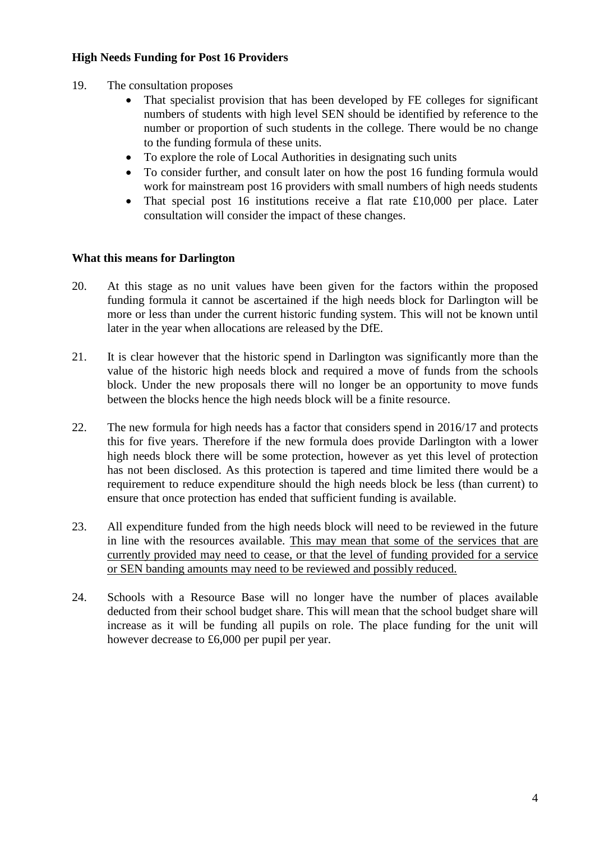### **High Needs Funding for Post 16 Providers**

- 19. The consultation proposes
	- That specialist provision that has been developed by FE colleges for significant numbers of students with high level SEN should be identified by reference to the number or proportion of such students in the college. There would be no change to the funding formula of these units.
	- To explore the role of Local Authorities in designating such units
	- To consider further, and consult later on how the post 16 funding formula would work for mainstream post 16 providers with small numbers of high needs students
	- That special post 16 institutions receive a flat rate £10,000 per place. Later consultation will consider the impact of these changes.

#### **What this means for Darlington**

- 20. At this stage as no unit values have been given for the factors within the proposed funding formula it cannot be ascertained if the high needs block for Darlington will be more or less than under the current historic funding system. This will not be known until later in the year when allocations are released by the DfE.
- 21. It is clear however that the historic spend in Darlington was significantly more than the value of the historic high needs block and required a move of funds from the schools block. Under the new proposals there will no longer be an opportunity to move funds between the blocks hence the high needs block will be a finite resource.
- 22. The new formula for high needs has a factor that considers spend in 2016/17 and protects this for five years. Therefore if the new formula does provide Darlington with a lower high needs block there will be some protection, however as yet this level of protection has not been disclosed. As this protection is tapered and time limited there would be a requirement to reduce expenditure should the high needs block be less (than current) to ensure that once protection has ended that sufficient funding is available.
- 23. All expenditure funded from the high needs block will need to be reviewed in the future in line with the resources available. This may mean that some of the services that are currently provided may need to cease, or that the level of funding provided for a service or SEN banding amounts may need to be reviewed and possibly reduced.
- 24. Schools with a Resource Base will no longer have the number of places available deducted from their school budget share. This will mean that the school budget share will increase as it will be funding all pupils on role. The place funding for the unit will however decrease to £6,000 per pupil per year.